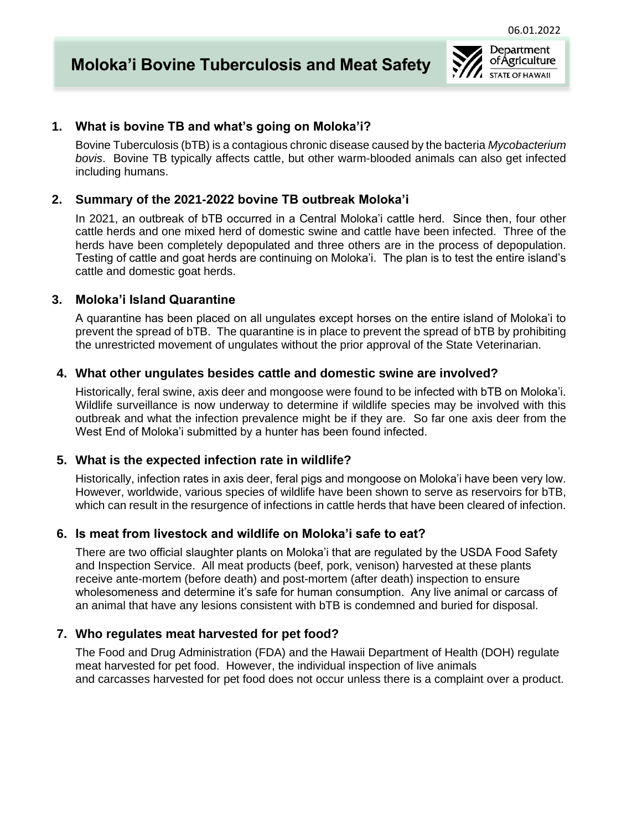

## **1. What is bovine TB and what's going on Moloka'i?**

Bovine Tuberculosis (bTB) is a contagious chronic disease caused by the bacteria *Mycobacterium bovis*. Bovine TB typically affects cattle, but other warm-blooded animals can also get infected including humans.

## **2. Summary of the 2021-2022 bovine TB outbreak Moloka'i**

In 2021, an outbreak of bTB occurred in a Central Moloka'i cattle herd. Since then, four other cattle herds and one mixed herd of domestic swine and cattle have been infected. Three of the herds have been completely depopulated and three others are in the process of depopulation. Testing of cattle and goat herds are continuing on Moloka'i. The plan is to test the entire island's cattle and domestic goat herds.

## **3. Moloka'i Island Quarantine**

A quarantine has been placed on all ungulates except horses on the entire island of Moloka'i to prevent the spread of bTB. The quarantine is in place to prevent the spread of bTB by prohibiting the unrestricted movement of ungulates without the prior approval of the State Veterinarian.

### **4. What other ungulates besides cattle and domestic swine are involved?**

Historically, feral swine, axis deer and mongoose were found to be infected with bTB on Moloka'i. Wildlife surveillance is now underway to determine if wildlife species may be involved with this outbreak and what the infection prevalence might be if they are. So far one axis deer from the West End of Moloka'i submitted by a hunter has been found infected.

### **5. What is the expected infection rate in wildlife?**

Historically, infection rates in axis deer, feral pigs and mongoose on Moloka'i have been very low. However, worldwide, various species of wildlife have been shown to serve as reservoirs for bTB, which can result in the resurgence of infections in cattle herds that have been cleared of infection.

# **6. Is meat from livestock and wildlife on Moloka'i safe to eat?**

There are two official slaughter plants on Moloka'i that are regulated by the USDA Food Safety and Inspection Service. All meat products (beef, pork, venison) harvested at these plants receive ante-mortem (before death) and post-mortem (after death) inspection to ensure wholesomeness and determine it's safe for human consumption. Any live animal or carcass of an animal that have any lesions consistent with bTB is condemned and buried for disposal.

# **7. Who regulates meat harvested for pet food?**

The Food and Drug Administration (FDA) and the Hawaii Department of Health (DOH) regulate meat harvested for pet food. However, the individual inspection of live animals and carcasses harvested for pet food does not occur unless there is a complaint over a product.